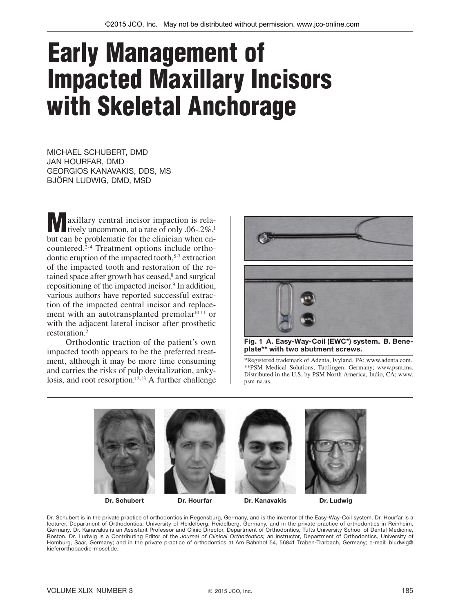## Early Management of Impacted Maxillary Incisors with Skeletal Anchorage

MICHAEL SCHUBERT, DMD JAN HOURFAR, DMD GEORGIOS KANAVAKIS, DDS, MS BJÖRN LUDWIG, DMD, MSD

Maxillary central incisor impaction is relatively uncommon, at a rate of only .06-.2%,<sup>1</sup> but can be problematic for the clinician when encountered.2-4 Treatment options include orthodontic eruption of the impacted tooth,5-7 extraction of the impacted tooth and restoration of the retained space after growth has ceased,<sup>8</sup> and surgical repositioning of the impacted incisor.<sup>9</sup> In addition, various authors have reported successful extraction of the impacted central incisor and replacement with an autotransplanted premolar<sup>10,11</sup> or with the adjacent lateral incisor after prosthetic restoration.2

Orthodontic traction of the patient's own impacted tooth appears to be the preferred treatment, although it may be more time consuming and carries the risks of pulp devitalization, ankylosis, and root resorption.<sup>12,13</sup> A further challenge



Fig. 1 A. Easy-Way-Coil (EWC\*) system. B. Beneplate\*\* with two abutment screws.

\*Registered trademark of Adenta, Ivyland, PA; www.adenta.com. \*\*PSM Medical Solutions, Tuttlingen, Germany; www.psm.ms. Distributed in the U.S. by PSM North America, Indio, CA; www. psm-na.us.



Dr. Schubert Dr. Hourfar Dr. Kanavakis Dr. Ludwig

Dr. Schubert is in the private practice of orthodontics in Regensburg, Germany, and is the inventor of the Easy-Way-Coil system. Dr. Hourfar is a lecturer, Department of Orthodontics, University of Heidelberg, Heidelberg, Germany, and in the private practice of orthodontics in Reinheim, Germany. Dr. Kanavakis is an Assistant Professor and Clinic Director, Department of Orthodontics, Tufts University School of Dental Medicine, Boston. Dr. Ludwig is a Contributing Editor of the *Journal of Clinical Orthodontics;* an instructor, Department of Orthodontics, University of Homburg, Saar, Germany; and in the private practice of orthodontics at Am Bahnhof 54, 56841 Traben-Trarbach, Germany; e-mail: bludwig@ kieferorthopaedie-mosel.de.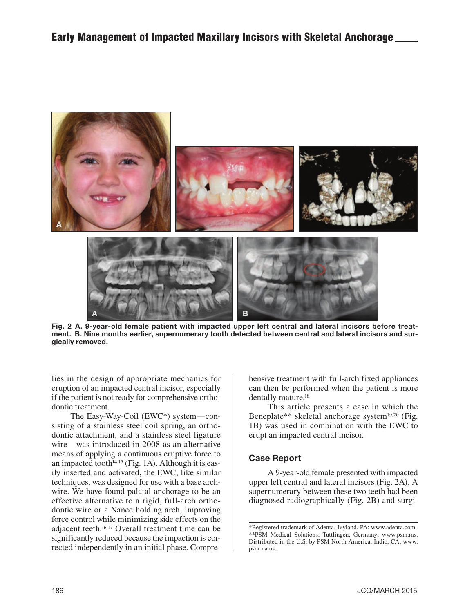

Fig. 2 A. 9-year-old female patient with impacted upper left central and lateral incisors before treatment. B. Nine months earlier, supernumerary tooth detected between central and lateral incisors and surgically removed.

lies in the design of appropriate mechanics for eruption of an impacted central incisor, especially if the patient is not ready for comprehensive orthodontic treatment.

The Easy-Way-Coil (EWC\*) system—consisting of a stainless steel coil spring, an orthodontic attachment, and a stainless steel ligature wire—was introduced in 2008 as an alternative means of applying a continuous eruptive force to an impacted tooth $14,15$  (Fig. 1A). Although it is easily inserted and activated, the EWC, like similar techniques, was designed for use with a base archwire. We have found palatal anchorage to be an effective alternative to a rigid, full-arch orthodontic wire or a Nance holding arch, improving force control while minimizing side effects on the adjacent teeth.16,17 Overall treatment time can be significantly reduced because the impaction is corrected independently in an initial phase. Comprehensive treatment with full-arch fixed appliances can then be performed when the patient is more dentally mature.<sup>18</sup>

This article presents a case in which the Beneplate\*\* skeletal anchorage system<sup>19,20</sup> (Fig. 1B) was used in combination with the EWC to erupt an impacted central incisor.

## Case Report

A 9-year-old female presented with impacted upper left central and lateral incisors (Fig. 2A). A supernumerary between these two teeth had been diagnosed radiographically (Fig. 2B) and surgi-

<sup>\*</sup>Registered trademark of Adenta, Ivyland, PA; www.adenta.com. \*\*PSM Medical Solutions, Tuttlingen, Germany; www.psm.ms. Distributed in the U.S. by PSM North America, Indio, CA; www. psm-na.us.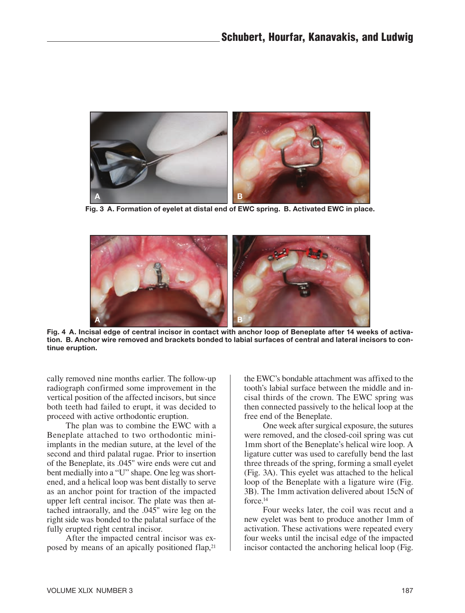

Fig. 3 A. Formation of eyelet at distal end of EWC spring. B. Activated EWC in place.



Fig. 4 A. Incisal edge of central incisor in contact with anchor loop of Beneplate after 14 weeks of activation. B. Anchor wire removed and brackets bonded to labial surfaces of central and lateral incisors to continue eruption.

cally removed nine months earlier. The follow-up radiograph confirmed some improvement in the vertical position of the affected incisors, but since both teeth had failed to erupt, it was decided to proceed with active orthodontic eruption.

The plan was to combine the EWC with a Beneplate attached to two orthodontic miniimplants in the median suture, at the level of the second and third palatal rugae. Prior to insertion of the Beneplate, its .045" wire ends were cut and bent medially into a "U" shape. One leg was shortened, and a helical loop was bent distally to serve as an anchor point for traction of the impacted upper left central incisor. The plate was then attached intraorally, and the .045" wire leg on the right side was bonded to the palatal surface of the fully erupted right central incisor.

After the impacted central incisor was exposed by means of an apically positioned flap,<sup>21</sup>

the EWC's bondable attachment was affixed to the tooth's labial surface between the middle and incisal thirds of the crown. The EWC spring was then connected passively to the helical loop at the free end of the Beneplate.

One week after surgical exposure, the sutures were removed, and the closed-coil spring was cut 1mm short of the Beneplate's helical wire loop. A ligature cutter was used to carefully bend the last three threads of the spring, forming a small eyelet (Fig. 3A). This eyelet was attached to the helical loop of the Beneplate with a ligature wire (Fig. 3B). The 1mm activation delivered about 15cN of force <sup>14</sup>

Four weeks later, the coil was recut and a new eyelet was bent to produce another 1mm of activation. These activations were repeated every four weeks until the incisal edge of the impacted incisor contacted the anchoring helical loop (Fig.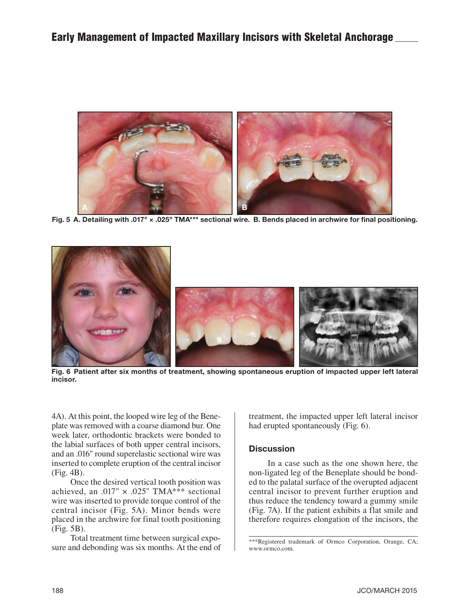

Fig. 5 A. Detailing with .017" × .025" TMA\*\*\* sectional wire. B. Bends placed in archwire for final positioning.



Fig. 6 Patient after six months of treatment, showing spontaneous eruption of impacted upper left lateral incisor.

4A). At this point, the looped wire leg of the Beneplate was removed with a coarse diamond bur. One week later, orthodontic brackets were bonded to the labial surfaces of both upper central incisors, and an .016" round superelastic sectional wire was inserted to complete eruption of the central incisor (Fig. 4B).

Once the desired vertical tooth position was achieved, an .017"  $\times$  .025" TMA\*\*\* sectional wire was inserted to provide torque control of the central incisor (Fig. 5A). Minor bends were placed in the archwire for final tooth positioning (Fig. 5B).

Total treatment time between surgical exposure and debonding was six months. At the end of

treatment, the impacted upper left lateral incisor had erupted spontaneously (Fig. 6).

## **Discussion**

In a case such as the one shown here, the non-ligated leg of the Beneplate should be bonded to the palatal surface of the overupted adjacent central incisor to prevent further eruption and thus reduce the tendency toward a gummy smile (Fig. 7A). If the patient exhibits a flat smile and therefore requires elongation of the incisors, the

<sup>\*\*\*</sup>Registered trademark of Ormco Corporation, Orange, CA; www.ormco.com.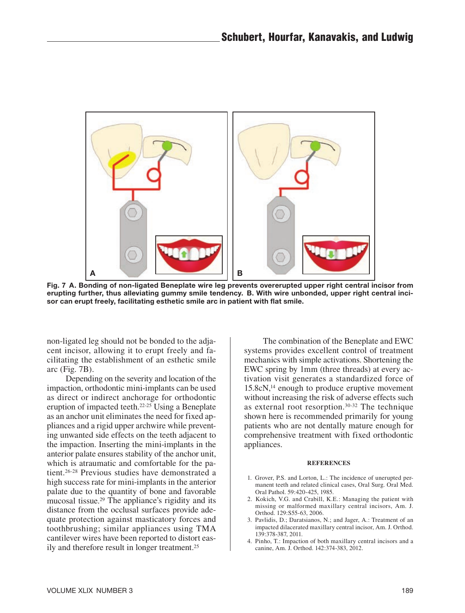

Fig. 7 A. Bonding of non-ligated Beneplate wire leg prevents overerupted upper right central incisor from erupting further, thus alleviating gummy smile tendency. B. With wire unbonded, upper right central incisor can erupt freely, facilitating esthetic smile arc in patient with flat smile.

non-ligated leg should not be bonded to the adjacent incisor, allowing it to erupt freely and facilitating the establishment of an esthetic smile arc (Fig. 7B).

Depending on the severity and location of the impaction, orthodontic mini-implants can be used as direct or indirect anchorage for orthodontic eruption of impacted teeth.22-25 Using a Beneplate as an anchor unit eliminates the need for fixed appliances and a rigid upper archwire while preventing unwanted side effects on the teeth adjacent to the impaction. Inserting the mini-implants in the anterior palate ensures stability of the anchor unit, which is atraumatic and comfortable for the patient.26-28 Previous studies have demonstrated a high success rate for mini-implants in the anterior palate due to the quantity of bone and favorable mucosal tissue.29 The appliance's rigidity and its distance from the occlusal surfaces provide adequate protection against masticatory forces and toothbrushing; similar appliances using TMA cantilever wires have been reported to distort easily and therefore result in longer treatment.25

The combination of the Beneplate and EWC systems provides excellent control of treatment mechanics with simple activations. Shortening the EWC spring by 1mm (three threads) at every activation visit generates a standardized force of 15.8cN,14 enough to produce eruptive movement without increasing the risk of adverse effects such as external root resorption.30-32 The technique shown here is recommended primarily for young patients who are not dentally mature enough for comprehensive treatment with fixed orthodontic appliances.

## **REFERENCES**

- 1. Grover, P.S. and Lorton, L.: The incidence of unerupted permanent teeth and related clinical cases, Oral Surg. Oral Med. Oral Pathol. 59:420-425, 1985.
- 2. Kokich, V.G. and Crabill, K.E.: Managing the patient with missing or malformed maxillary central incisors, Am. J. Orthod. 129:S55-63, 2006.
- 3. Pavlidis, D.; Daratsianos, N.; and Jager, A.: Treatment of an impacted dilacerated maxillary central incisor, Am. J. Orthod. 139:378-387, 2011.
- 4. Pinho, T.: Impaction of both maxillary central incisors and a canine, Am. J. Orthod. 142:374-383, 2012.